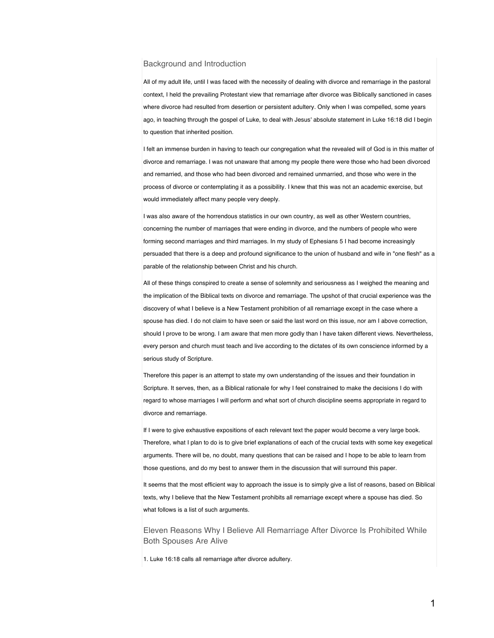## Background and Introduction

All of my adult life, until I was faced with the necessity of dealing with divorce and remarriage in the pastoral context, I held the prevailing Protestant view that remarriage after divorce was Biblically sanctioned in cases where divorce had resulted from desertion or persistent adultery. Only when I was compelled, some years ago, in teaching through the gospel of Luke, to deal with Jesus' absolute statement in Luke 16:18 did I begin to question that inherited position.

I felt an immense burden in having to teach our congregation what the revealed will of God is in this matter of divorce and remarriage. I was not unaware that among my people there were those who had been divorced and remarried, and those who had been divorced and remained unmarried, and those who were in the process of divorce or contemplating it as a possibility. I knew that this was not an academic exercise, but would immediately affect many people very deeply.

I was also aware of the horrendous statistics in our own country, as well as other Western countries, concerning the number of marriages that were ending in divorce, and the numbers of people who were forming second marriages and third marriages. In my study of Ephesians 5 I had become increasingly persuaded that there is a deep and profound significance to the union of husband and wife in "one flesh" as a parable of the relationship between Christ and his church.

All of these things conspired to create a sense of solemnity and seriousness as I weighed the meaning and the implication of the Biblical texts on divorce and remarriage. The upshot of that crucial experience was the discovery of what I believe is a New Testament prohibition of all remarriage except in the case where a spouse has died. I do not claim to have seen or said the last word on this issue, nor am I above correction, should I prove to be wrong. I am aware that men more godly than I have taken different views. Nevertheless, every person and church must teach and live according to the dictates of its own conscience informed by a serious study of Scripture.

Therefore this paper is an attempt to state my own understanding of the issues and their foundation in Scripture. It serves, then, as a Biblical rationale for why I feel constrained to make the decisions I do with regard to whose marriages I will perform and what sort of church discipline seems appropriate in regard to divorce and remarriage.

If I were to give exhaustive expositions of each relevant text the paper would become a very large book. Therefore, what I plan to do is to give brief explanations of each of the crucial texts with some key exegetical arguments. There will be, no doubt, many questions that can be raised and I hope to be able to learn from those questions, and do my best to answer them in the discussion that will surround this paper.

It seems that the most efficient way to approach the issue is to simply give a list of reasons, based on Biblical texts, why I believe that the New Testament prohibits all remarriage except where a spouse has died. So what follows is a list of such arguments.

Eleven Reasons Why I Believe All Remarriage After Divorce Is Prohibited While Both Spouses Are Alive

1. Luke 16:18 calls all remarriage after divorce adultery.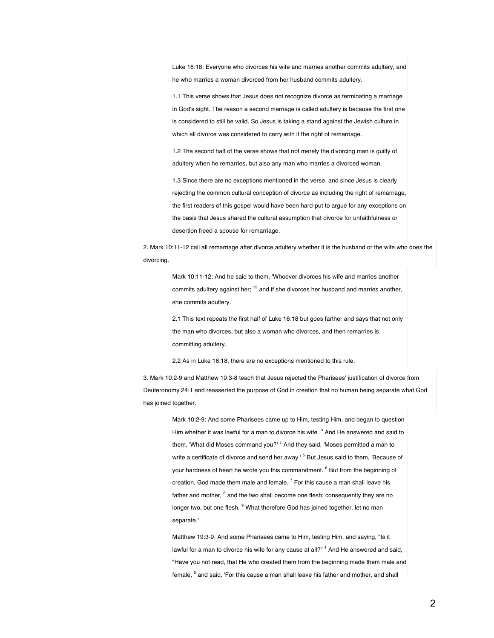Luke 16:18: Everyone who divorces his wife and marries another commits adultery, and he who marries a woman divorced from her husband commits adultery.

1.1 This verse shows that Jesus does not recognize divorce as terminating a marriage in God's sight. The reason a second marriage is called adultery is because the first one is considered to still be valid. So Jesus is taking a stand against the Jewish culture in which all divorce was considered to carry with it the right of remarriage.

1.2 The second half of the verse shows that not merely the divorcing man is guilty of adultery when he remarries, but also any man who marries a divorced woman.

1.3 Since there are no exceptions mentioned in the verse, and since Jesus is clearly rejecting the common cultural conception of divorce as including the right of remarriage, the first readers of this gospel would have been hard-put to argue for any exceptions on the basis that Jesus shared the cultural assumption that divorce for unfaithfulness or desertion freed a spouse for remarriage.

2. Mark 10:11-12 call all remarriage after divorce adultery whether it is the husband or the wife who does the divorcing.

> Mark 10:11-12: And he said to them, 'Whoever divorces his wife and marries another commits adultery against her;  $12$  and if she divorces her husband and marries another, she commits adultery.'

> 2.1 This text repeats the first half of Luke 16:18 but goes farther and says that not only the man who divorces, but also a woman who divorces, and then remarries is committing adultery.

2.2 As in Luke 16:18, there are no exceptions mentioned to this rule.

3. Mark 10:2-9 and Matthew 19:3-8 teach that Jesus rejected the Pharisees' justification of divorce from Deuteronomy 24:1 and reasserted the purpose of God in creation that no human being separate what God has joined together.

> Mark 10:2-9: And some Pharisees came up to Him, testing Him, and began to question Him whether it was lawful for a man to divorce his wife. <sup>3</sup> And He answered and said to them, 'What did Moses command you?' <sup>4</sup> And they said, 'Moses permitted a man to write a certificate of divorce and send her away.<sup>15</sup> But Jesus said to them, 'Because of your hardness of heart he wrote you this commandment. <sup>6</sup> But from the beginning of creation, God made them male and female.  $^7$  For this cause a man shall leave his father and mother, <sup>8</sup> and the two shall become one flesh; consequently they are no longer two, but one flesh. <sup>9</sup> What therefore God has joined together, let no man separate.'

> Matthew 19:3-9: And some Pharisees came to Him, testing Him, and saying, "Is it lawful for a man to divorce his wife for any cause at all?" <sup>4</sup> And He answered and said, "Have you not read, that He who created them from the beginning made them male and female, <sup>5</sup> and said, 'For this cause a man shall leave his father and mother, and shall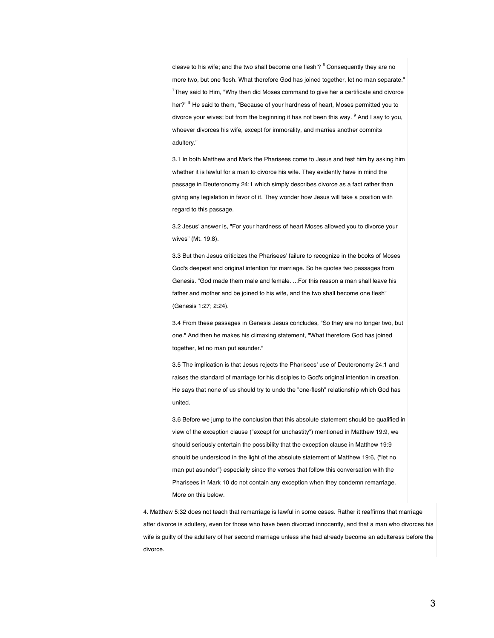cleave to his wife; and the two shall become one flesh'? <sup>6</sup> Consequently they are no more two, but one flesh. What therefore God has joined together, let no man separate."  $7$ They said to Him, "Why then did Moses command to give her a certificate and divorce her?" <sup>8</sup> He said to them, "Because of your hardness of heart, Moses permitted you to divorce your wives; but from the beginning it has not been this way. <sup>9</sup> And I say to you, whoever divorces his wife, except for immorality, and marries another commits adultery."

3.1 In both Matthew and Mark the Pharisees come to Jesus and test him by asking him whether it is lawful for a man to divorce his wife. They evidently have in mind the passage in Deuteronomy 24:1 which simply describes divorce as a fact rather than giving any legislation in favor of it. They wonder how Jesus will take a position with regard to this passage.

3.2 Jesus' answer is, "For your hardness of heart Moses allowed you to divorce your wives" (Mt. 19:8).

3.3 But then Jesus criticizes the Pharisees' failure to recognize in the books of Moses God's deepest and original intention for marriage. So he quotes two passages from Genesis. "God made them male and female. ...For this reason a man shall leave his father and mother and be joined to his wife, and the two shall become one flesh" (Genesis 1:27; 2:24).

3.4 From these passages in Genesis Jesus concludes, "So they are no longer two, but one." And then he makes his climaxing statement, "What therefore God has joined together, let no man put asunder."

3.5 The implication is that Jesus rejects the Pharisees' use of Deuteronomy 24:1 and raises the standard of marriage for his disciples to God's original intention in creation. He says that none of us should try to undo the "one-flesh" relationship which God has united.

3.6 Before we jump to the conclusion that this absolute statement should be qualified in view of the exception clause ("except for unchastity") mentioned in Matthew 19:9, we should seriously entertain the possibility that the exception clause in Matthew 19:9 should be understood in the light of the absolute statement of Matthew 19:6, ("let no man put asunder") especially since the verses that follow this conversation with the Pharisees in Mark 10 do not contain any exception when they condemn remarriage. More on this below.

4. Matthew 5:32 does not teach that remarriage is lawful in some cases. Rather it reaffirms that marriage after divorce is adultery, even for those who have been divorced innocently, and that a man who divorces his wife is guilty of the adultery of her second marriage unless she had already become an adulteress before the divorce.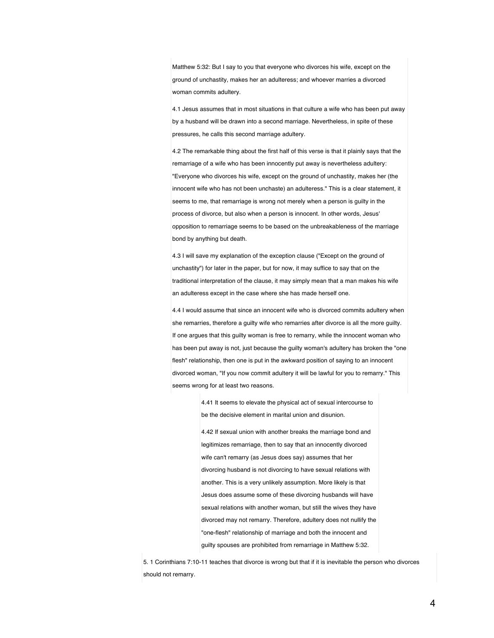Matthew 5:32: But I say to you that everyone who divorces his wife, except on the ground of unchastity, makes her an adulteress; and whoever marries a divorced woman commits adultery.

4.1 Jesus assumes that in most situations in that culture a wife who has been put away by a husband will be drawn into a second marriage. Nevertheless, in spite of these pressures, he calls this second marriage adultery.

4.2 The remarkable thing about the first half of this verse is that it plainly says that the remarriage of a wife who has been innocently put away is nevertheless adultery: "Everyone who divorces his wife, except on the ground of unchastity, makes her (the innocent wife who has not been unchaste) an adulteress." This is a clear statement, it seems to me, that remarriage is wrong not merely when a person is guilty in the process of divorce, but also when a person is innocent. In other words, Jesus' opposition to remarriage seems to be based on the unbreakableness of the marriage bond by anything but death.

4.3 I will save my explanation of the exception clause ("Except on the ground of unchastity") for later in the paper, but for now, it may suffice to say that on the traditional interpretation of the clause, it may simply mean that a man makes his wife an adulteress except in the case where she has made herself one.

4.4 I would assume that since an innocent wife who is divorced commits adultery when she remarries, therefore a guilty wife who remarries after divorce is all the more guilty. If one argues that this guilty woman is free to remarry, while the innocent woman who has been put away is not, just because the guilty woman's adultery has broken the "one flesh" relationship, then one is put in the awkward position of saying to an innocent divorced woman, "If you now commit adultery it will be lawful for you to remarry." This seems wrong for at least two reasons.

> 4.41 It seems to elevate the physical act of sexual intercourse to be the decisive element in marital union and disunion.

4.42 If sexual union with another breaks the marriage bond and legitimizes remarriage, then to say that an innocently divorced wife can't remarry (as Jesus does say) assumes that her divorcing husband is not divorcing to have sexual relations with another. This is a very unlikely assumption. More likely is that Jesus does assume some of these divorcing husbands will have sexual relations with another woman, but still the wives they have divorced may not remarry. Therefore, adultery does not nullify the "one-flesh" relationship of marriage and both the innocent and guilty spouses are prohibited from remarriage in Matthew 5:32.

5. 1 Corinthians 7:10-11 teaches that divorce is wrong but that if it is inevitable the person who divorces should not remarry.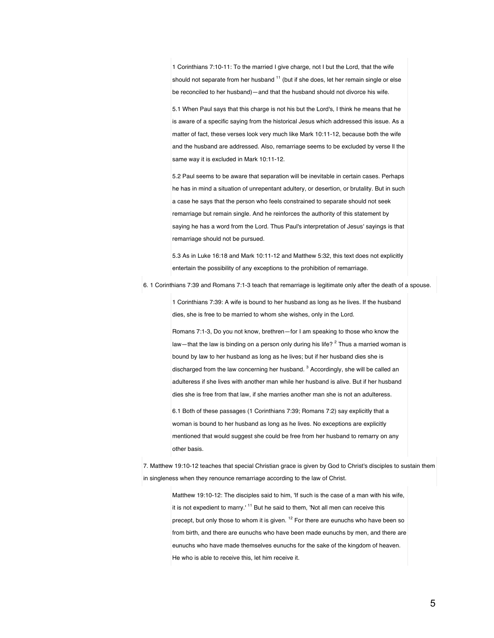1 Corinthians 7:10-11: To the married I give charge, not I but the Lord, that the wife should not separate from her husband  $11$  (but if she does, let her remain single or else be reconciled to her husband)—and that the husband should not divorce his wife.

5.1 When Paul says that this charge is not his but the Lord's, I think he means that he is aware of a specific saying from the historical Jesus which addressed this issue. As a matter of fact, these verses look very much like Mark 10:11-12, because both the wife and the husband are addressed. Also, remarriage seems to be excluded by verse ll the same way it is excluded in Mark 10:11-12.

5.2 Paul seems to be aware that separation will be inevitable in certain cases. Perhaps he has in mind a situation of unrepentant adultery, or desertion, or brutality. But in such a case he says that the person who feels constrained to separate should not seek remarriage but remain single. And he reinforces the authority of this statement by saying he has a word from the Lord. Thus Paul's interpretation of Jesus' sayings is that remarriage should not be pursued.

5.3 As in Luke 16:18 and Mark 10:11-12 and Matthew 5:32, this text does not explicitly entertain the possibility of any exceptions to the prohibition of remarriage.

6. 1 Corinthians 7:39 and Romans 7:1-3 teach that remarriage is legitimate only after the death of a spouse.

1 Corinthians 7:39: A wife is bound to her husband as long as he lives. If the husband dies, she is free to be married to whom she wishes, only in the Lord.

Romans 7:1-3, Do you not know, brethren—for I am speaking to those who know the law-that the law is binding on a person only during his life?  $^2$  Thus a married woman is bound by law to her husband as long as he lives; but if her husband dies she is discharged from the law concerning her husband.  $3$  Accordingly, she will be called an adulteress if she lives with another man while her husband is alive. But if her husband dies she is free from that law, if she marries another man she is not an adulteress.

6.1 Both of these passages (1 Corinthians 7:39; Romans 7:2) say explicitly that a woman is bound to her husband as long as he lives. No exceptions are explicitly mentioned that would suggest she could be free from her husband to remarry on any other basis.

7. Matthew 19:10-12 teaches that special Christian grace is given by God to Christ's disciples to sustain them in singleness when they renounce remarriage according to the law of Christ.

Matthew 19:10-12: The disciples said to him, 'If such is the case of a man with his wife, it is not expedient to marry.<sup>11</sup> But he said to them, 'Not all men can receive this precept, but only those to whom it is given. <sup>12</sup> For there are eunuchs who have been so from birth, and there are eunuchs who have been made eunuchs by men, and there are eunuchs who have made themselves eunuchs for the sake of the kingdom of heaven. He who is able to receive this, let him receive it.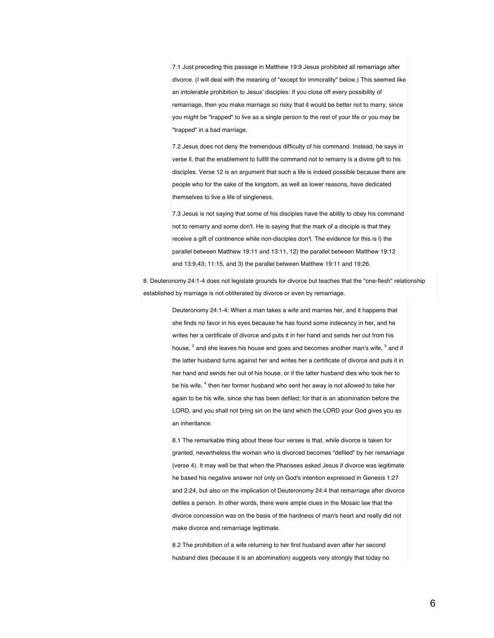7.1 Just preceding this passage in Matthew 19:9 Jesus prohibited all remarriage after divorce. (I will deal with the meaning of "except for immorality" below.) This seemed like an intolerable prohibition to Jesus' disciples: If you close off every possibility of remarriage, then you make marriage so risky that it would be better not to marry, since you might be "trapped" to live as a single person to the rest of your life or you may be "trapped" in a bad marriage.

7.2 Jesus does not deny the tremendous difficulty of his command. Instead, he says in verse ll, that the enablement to fulfill the command not to remarry is a divine gift to his disciples. Verse 12 is an argument that such a life is indeed possible because there are people who for the sake of the kingdom, as well as lower reasons, have dedicated themselves to live a life of singleness.

7.3 Jesus is not saying that some of his disciples have the ability to obey his command not to remarry and some don't. He is saying that the mark of a disciple is that they receive a gift of continence while non-disciples don't. The evidence for this is l) the parallel between Matthew 19:11 and 13:11, 12) the parallel between Matthew 19:12 and 13:9,43; 11:15, and 3) the parallel between Matthew 19:11 and 19:26.

8. Deuteronomy 24:1-4 does not legislate grounds for divorce but teaches that the "one-flesh" relationship established by marriage is not obliterated by divorce or even by remarriage.

> Deuteronomy 24:1-4: When a man takes a wife and marries her, and it happens that she finds no favor in his eyes because he has found some indecency in her, and he writes her a certificate of divorce and puts it in her hand and sends her out from his house, <sup>2</sup> and she leaves his house and goes and becomes another man's wife, <sup>3</sup> and if the latter husband turns against her and writes her a certificate of divorce and puts it in her hand and sends her out of his house, or if the latter husband dies who took her to be his wife, <sup>4</sup> then her former husband who sent her away is not allowed to take her again to be his wife, since she has been defiled; for that is an abomination before the LORD, and you shall not bring sin on the land which the LORD your God gives you as an inheritance.

> 8.1 The remarkable thing about these four verses is that, while divorce is taken for granted, nevertheless the woman who is divorced becomes "defiled" by her remarriage (verse 4). It may well be that when the Pharisees asked Jesus if divorce was legitimate he based his negative answer not only on God's intention expressed in Genesis 1:27 and 2:24, but also on the implication of Deuteronomy 24:4 that remarriage after divorce defiles a person. In other words, there were ample clues in the Mosaic law that the divorce concession was on the basis of the hardness of man's heart and really did not make divorce and remarriage legitimate.

8.2 The prohibition of a wife returning to her first husband even after her second husband dies (because it is an abomination) suggests very strongly that today no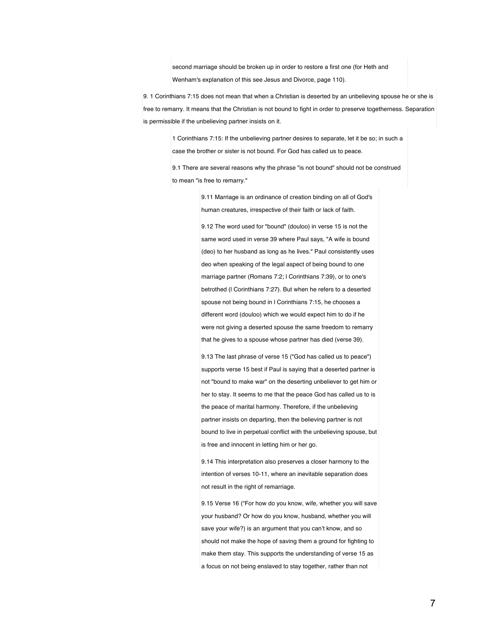second marriage should be broken up in order to restore a first one (for Heth and Wenham's explanation of this see Jesus and Divorce, page 110).

9. 1 Corinthians 7:15 does not mean that when a Christian is deserted by an unbelieving spouse he or she is free to remarry. It means that the Christian is not bound to fight in order to preserve togetherness. Separation is permissible if the unbelieving partner insists on it.

> 1 Corinthians 7:15: If the unbelieving partner desires to separate, let it be so; in such a case the brother or sister is not bound. For God has called us to peace.

> 9.1 There are several reasons why the phrase "is not bound" should not be construed to mean "is free to remarry."

> > 9.11 Marriage is an ordinance of creation binding on all of God's human creatures, irrespective of their faith or lack of faith.

9.12 The word used for "bound" (douloo) in verse 15 is not the same word used in verse 39 where Paul says, "A wife is bound (deo) to her husband as long as he lives." Paul consistently uses deo when speaking of the legal aspect of being bound to one marriage partner (Romans 7:2; l Corinthians 7:39), or to one's betrothed (l Corinthians 7:27). But when he refers to a deserted spouse not being bound in l Corinthians 7:15, he chooses a different word (douloo) which we would expect him to do if he were not giving a deserted spouse the same freedom to remarry that he gives to a spouse whose partner has died (verse 39).

9.13 The last phrase of verse 15 ("God has called us to peace") supports verse 15 best if Paul is saying that a deserted partner is not "bound to make war" on the deserting unbeliever to get him or her to stay. It seems to me that the peace God has called us to is the peace of marital harmony. Therefore, if the unbelieving partner insists on departing, then the believing partner is not bound to live in perpetual conflict with the unbelieving spouse, but is free and innocent in letting him or her go.

9.14 This interpretation also preserves a closer harmony to the intention of verses 10-11, where an inevitable separation does not result in the right of remarriage.

9.15 Verse 16 ("For how do you know, wife, whether you will save your husband? Or how do you know, husband, whether you will save your wife?) is an argument that you can't know, and so should not make the hope of saving them a ground for fighting to make them stay. This supports the understanding of verse 15 as a focus on not being enslaved to stay together, rather than not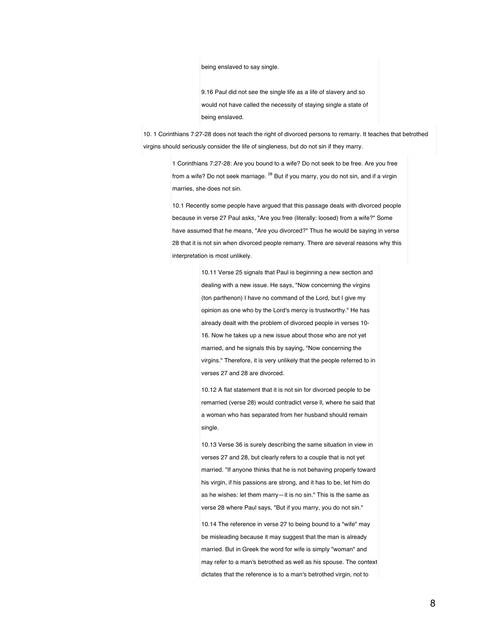being enslaved to say single.

9.16 Paul did not see the single life as a life of slavery and so would not have called the necessity of staying single a state of being enslaved.

10. 1 Corinthians 7:27-28 does not teach the right of divorced persons to remarry. It teaches that betrothed virgins should seriously consider the life of singleness, but do not sin if they marry.

> 1 Corinthians 7:27-28: Are you bound to a wife? Do not seek to be free. Are you free from a wife? Do not seek marriage. <sup>28</sup> But if you marry, you do not sin, and if a virgin marries, she does not sin.

10.1 Recently some people have argued that this passage deals with divorced people because in verse 27 Paul asks, "Are you free (literally: loosed) from a wife?" Some have assumed that he means, "Are you divorced?" Thus he would be saying in verse 28 that it is not sin when divorced people remarry. There are several reasons why this interpretation is most unlikely.

> 10.11 Verse 25 signals that Paul is beginning a new section and dealing with a new issue. He says, "Now concerning the virgins (ton parthenon) I have no command of the Lord, but I give my opinion as one who by the Lord's mercy is trustworthy." He has already dealt with the problem of divorced people in verses 10- 16. Now he takes up a new issue about those who are not yet married, and he signals this by saying, "Now concerning the virgins." Therefore, it is very unlikely that the people referred to in verses 27 and 28 are divorced.

> 10.12 A flat statement that it is not sin for divorced people to be remarried (verse 28) would contradict verse ll, where he said that a woman who has separated from her husband should remain single.

> 10.13 Verse 36 is surely describing the same situation in view in verses 27 and 28, but clearly refers to a couple that is not yet married. "If anyone thinks that he is not behaving properly toward his virgin, if his passions are strong, and it has to be, let him do as he wishes: let them marry—it is no sin." This is the same as verse 28 where Paul says, "But if you marry, you do not sin."

10.14 The reference in verse 27 to being bound to a "wife" may be misleading because it may suggest that the man is already married. But in Greek the word for wife is simply "woman" and may refer to a man's betrothed as well as his spouse. The context dictates that the reference is to a man's betrothed virgin, not to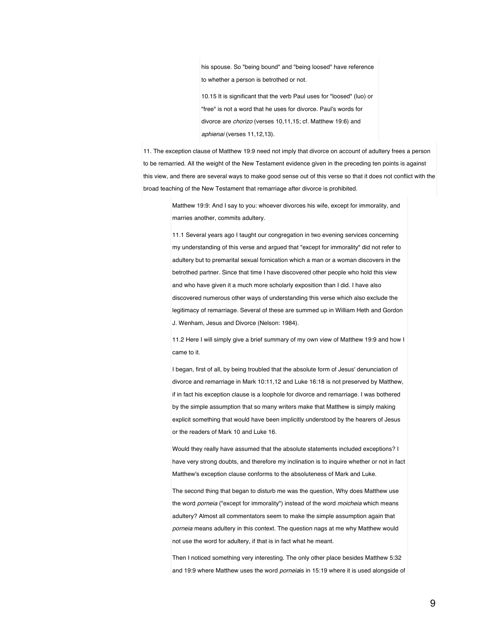his spouse. So "being bound" and "being loosed" have reference to whether a person is betrothed or not.

10.15 It is significant that the verb Paul uses for "loosed" (luo) or "free" is not a word that he uses for divorce. Paul's words for divorce are *chorizo* (verses 10,11,15; cf. Matthew 19:6) and *aphienai* (verses 11,12,13).

11. The exception clause of Matthew 19:9 need not imply that divorce on account of adultery frees a person to be remarried. All the weight of the New Testament evidence given in the preceding ten points is against this view, and there are several ways to make good sense out of this verse so that it does not conflict with the broad teaching of the New Testament that remarriage after divorce is prohibited.

Matthew 19:9: And I say to you: whoever divorces his wife, except for immorality, and marries another, commits adultery.

11.1 Several years ago I taught our congregation in two evening services concerning my understanding of this verse and argued that "except for immorality" did not refer to adultery but to premarital sexual fornication which a man or a woman discovers in the betrothed partner. Since that time I have discovered other people who hold this view and who have given it a much more scholarly exposition than I did. I have also discovered numerous other ways of understanding this verse which also exclude the legitimacy of remarriage. Several of these are summed up in William Heth and Gordon J. Wenham, Jesus and Divorce (Nelson: 1984).

11.2 Here I will simply give a brief summary of my own view of Matthew 19:9 and how I came to it.

I began, first of all, by being troubled that the absolute form of Jesus' denunciation of divorce and remarriage in Mark 10:11,12 and Luke 16:18 is not preserved by Matthew, if in fact his exception clause is a loophole for divorce and remarriage. I was bothered by the simple assumption that so many writers make that Matthew is simply making explicit something that would have been implicitly understood by the hearers of Jesus or the readers of Mark 10 and Luke 16.

Would they really have assumed that the absolute statements included exceptions? I have very strong doubts, and therefore my inclination is to inquire whether or not in fact Matthew's exception clause conforms to the absoluteness of Mark and Luke.

The second thing that began to disturb me was the question, Why does Matthew use the word *porneia* ("except for immorality") instead of the word *moicheia* which means adultery? Almost all commentators seem to make the simple assumption again that *porneia* means adultery in this context. The question nags at me why Matthew would not use the word for adultery, if that is in fact what he meant.

Then I noticed something very interesting. The only other place besides Matthew 5:32 and 19:9 where Matthew uses the word *porneia*is in 15:19 where it is used alongside of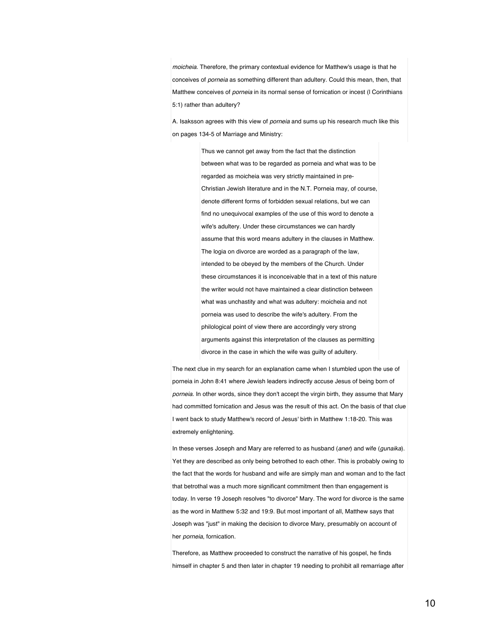*moicheia*. Therefore, the primary contextual evidence for Matthew's usage is that he conceives of *porneia* as something different than adultery. Could this mean, then, that Matthew conceives of *porneia* in its normal sense of fornication or incest (l Corinthians 5:1) rather than adultery?

A. Isaksson agrees with this view of *porneia* and sums up his research much like this on pages 134-5 of Marriage and Ministry:

> Thus we cannot get away from the fact that the distinction between what was to be regarded as porneia and what was to be regarded as moicheia was very strictly maintained in pre-Christian Jewish literature and in the N.T. Porneia may, of course, denote different forms of forbidden sexual relations, but we can find no unequivocal examples of the use of this word to denote a wife's adultery. Under these circumstances we can hardly assume that this word means adultery in the clauses in Matthew. The logia on divorce are worded as a paragraph of the law, intended to be obeyed by the members of the Church. Under these circumstances it is inconceivable that in a text of this nature the writer would not have maintained a clear distinction between what was unchastity and what was adultery: moicheia and not porneia was used to describe the wife's adultery. From the philological point of view there are accordingly very strong arguments against this interpretation of the clauses as permitting divorce in the case in which the wife was guilty of adultery.

The next clue in my search for an explanation came when I stumbled upon the use of porneia in John 8:41 where Jewish leaders indirectly accuse Jesus of being born of *porneia*. In other words, since they don't accept the virgin birth, they assume that Mary had committed fornication and Jesus was the result of this act. On the basis of that clue I went back to study Matthew's record of Jesus' birth in Matthew 1:18-20. This was extremely enlightening.

In these verses Joseph and Mary are referred to as husband (*aner*) and wife (*gunaika*). Yet they are described as only being betrothed to each other. This is probably owing to the fact that the words for husband and wife are simply man and woman and to the fact that betrothal was a much more significant commitment then than engagement is today. In verse 19 Joseph resolves "to divorce" Mary. The word for divorce is the same as the word in Matthew 5:32 and 19:9. But most important of all, Matthew says that Joseph was "just" in making the decision to divorce Mary, presumably on account of her *porneia*, fornication.

Therefore, as Matthew proceeded to construct the narrative of his gospel, he finds himself in chapter 5 and then later in chapter 19 needing to prohibit all remarriage after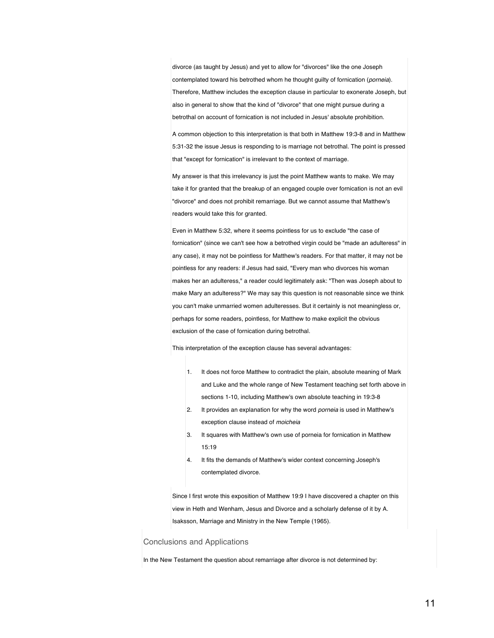divorce (as taught by Jesus) and yet to allow for "divorces" like the one Joseph contemplated toward his betrothed whom he thought guilty of fornication (*porneia*). Therefore, Matthew includes the exception clause in particular to exonerate Joseph, but also in general to show that the kind of "divorce" that one might pursue during a betrothal on account of fornication is not included in Jesus' absolute prohibition.

A common objection to this interpretation is that both in Matthew 19:3-8 and in Matthew 5:31-32 the issue Jesus is responding to is marriage not betrothal. The point is pressed that "except for fornication" is irrelevant to the context of marriage.

My answer is that this irrelevancy is just the point Matthew wants to make. We may take it for granted that the breakup of an engaged couple over fornication is not an evil "divorce" and does not prohibit remarriage. But we cannot assume that Matthew's readers would take this for granted.

Even in Matthew 5:32, where it seems pointless for us to exclude "the case of fornication" (since we can't see how a betrothed virgin could be "made an adulteress" in any case), it may not be pointless for Matthew's readers. For that matter, it may not be pointless for any readers: if Jesus had said, "Every man who divorces his woman makes her an adulteress," a reader could legitimately ask: "Then was Joseph about to make Mary an adulteress?" We may say this question is not reasonable since we think you can't make unmarried women adulteresses. But it certainly is not meaningless or, perhaps for some readers, pointless, for Matthew to make explicit the obvious exclusion of the case of fornication during betrothal.

This interpretation of the exception clause has several advantages:

- 1. It does not force Matthew to contradict the plain, absolute meaning of Mark and Luke and the whole range of New Testament teaching set forth above in sections 1-10, including Matthew's own absolute teaching in 19:3-8
- 2. It provides an explanation for why the word *porneia* is used in Matthew's exception clause instead of *moicheia*
- 3. It squares with Matthew's own use of porneia for fornication in Matthew 15:19
- 4. It fits the demands of Matthew's wider context concerning Joseph's contemplated divorce.

Since I first wrote this exposition of Matthew 19:9 I have discovered a chapter on this view in Heth and Wenham, Jesus and Divorce and a scholarly defense of it by A. Isaksson, Marriage and Ministry in the New Temple (1965).

## Conclusions and Applications

In the New Testament the question about remarriage after divorce is not determined by: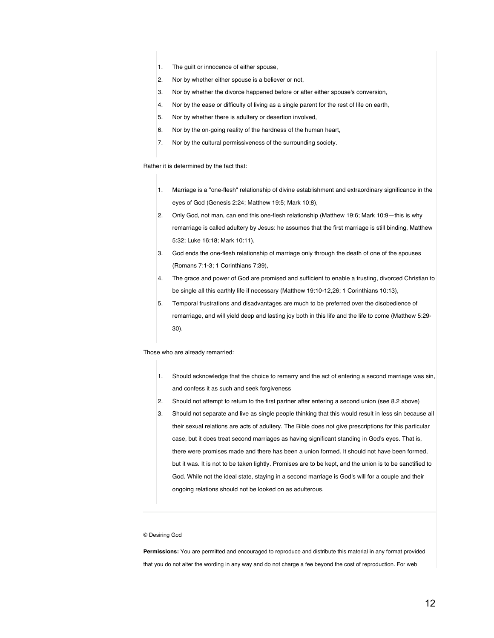- 1. The guilt or innocence of either spouse,
- 2. Nor by whether either spouse is a believer or not,
- 3. Nor by whether the divorce happened before or after either spouse's conversion,
- 4. Nor by the ease or difficulty of living as a single parent for the rest of life on earth,
- 5. Nor by whether there is adultery or desertion involved,
- 6. Nor by the on-going reality of the hardness of the human heart,
- 7. Nor by the cultural permissiveness of the surrounding society.

Rather it is determined by the fact that:

- 1. Marriage is a "one-flesh" relationship of divine establishment and extraordinary significance in the eyes of God (Genesis 2:24; Matthew 19:5; Mark 10:8),
- 2. Only God, not man, can end this one-flesh relationship (Matthew 19:6; Mark 10:9—this is why remarriage is called adultery by Jesus: he assumes that the first marriage is still binding, Matthew 5:32; Luke 16:18; Mark 10:11),
- 3. God ends the one-flesh relationship of marriage only through the death of one of the spouses (Romans 7:1-3; 1 Corinthians 7:39),
- 4. The grace and power of God are promised and sufficient to enable a trusting, divorced Christian to be single all this earthly life if necessary (Matthew 19:10-12,26; 1 Corinthians 10:13),
- 5. Temporal frustrations and disadvantages are much to be preferred over the disobedience of remarriage, and will yield deep and lasting joy both in this life and the life to come (Matthew 5:29- 30).

Those who are already remarried:

- 1. Should acknowledge that the choice to remarry and the act of entering a second marriage was sin, and confess it as such and seek forgiveness
- 2. Should not attempt to return to the first partner after entering a second union (see 8.2 above)
- 3. Should not separate and live as single people thinking that this would result in less sin because all their sexual relations are acts of adultery. The Bible does not give prescriptions for this particular case, but it does treat second marriages as having significant standing in God's eyes. That is, there were promises made and there has been a union formed. It should not have been formed, but it was. It is not to be taken lightly. Promises are to be kept, and the union is to be sanctified to God. While not the ideal state, staying in a second marriage is God's will for a couple and their ongoing relations should not be looked on as adulterous.

## © Desiring God

**Permissions:** You are permitted and encouraged to reproduce and distribute this material in any format provided that you do not alter the wording in any way and do not charge a fee beyond the cost of reproduction. For web